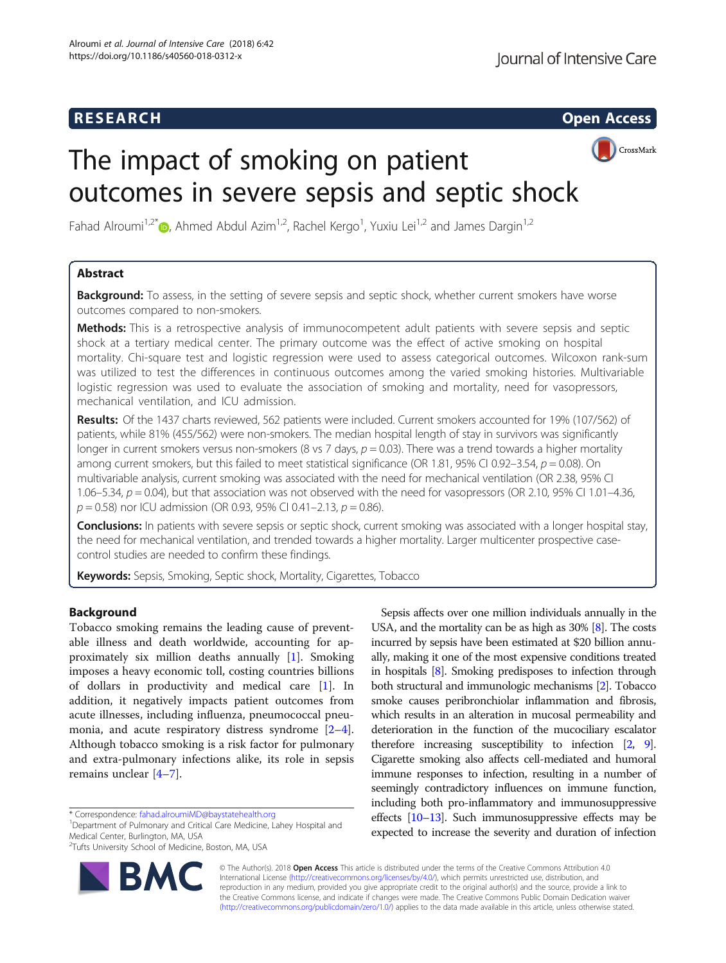## **RESEARCH RESEARCH CONSUMING ACCESS**



# The impact of smoking on patient outcomes in severe sepsis and septic shock

Fahad Alroumi<sup>1[,](http://orcid.org/0000-0002-8014-6741)2\*</sup> D, Ahmed Abdul Azim<sup>1,2</sup>, Rachel Kergo<sup>1</sup>, Yuxiu Lei<sup>1,2</sup> and James Dargin<sup>1,2</sup>

## Abstract

**Background:** To assess, in the setting of severe sepsis and septic shock, whether current smokers have worse outcomes compared to non-smokers.

Methods: This is a retrospective analysis of immunocompetent adult patients with severe sepsis and septic shock at a tertiary medical center. The primary outcome was the effect of active smoking on hospital mortality. Chi-square test and logistic regression were used to assess categorical outcomes. Wilcoxon rank-sum was utilized to test the differences in continuous outcomes among the varied smoking histories. Multivariable logistic regression was used to evaluate the association of smoking and mortality, need for vasopressors, mechanical ventilation, and ICU admission.

Results: Of the 1437 charts reviewed, 562 patients were included. Current smokers accounted for 19% (107/562) of patients, while 81% (455/562) were non-smokers. The median hospital length of stay in survivors was significantly longer in current smokers versus non-smokers (8 vs 7 days,  $p = 0.03$ ). There was a trend towards a higher mortality among current smokers, but this failed to meet statistical significance (OR 1.81, 95% CI 0.92–3.54,  $p = 0.08$ ). On multivariable analysis, current smoking was associated with the need for mechanical ventilation (OR 2.38, 95% CI 1.06–5.34,  $p = 0.04$ ), but that association was not observed with the need for vasopressors (OR 2.10, 95% CI 1.01–4.36,  $p = 0.58$ ) nor ICU admission (OR 0.93, 95% CI 0.41-2.13,  $p = 0.86$ ).

Conclusions: In patients with severe sepsis or septic shock, current smoking was associated with a longer hospital stay, the need for mechanical ventilation, and trended towards a higher mortality. Larger multicenter prospective casecontrol studies are needed to confirm these findings.

Keywords: Sepsis, Smoking, Septic shock, Mortality, Cigarettes, Tobacco

## **Background**

Tobacco smoking remains the leading cause of preventable illness and death worldwide, accounting for approximately six million deaths annually [[1](#page-9-0)]. Smoking imposes a heavy economic toll, costing countries billions of dollars in productivity and medical care [[1\]](#page-9-0). In addition, it negatively impacts patient outcomes from acute illnesses, including influenza, pneumococcal pneumonia, and acute respiratory distress syndrome [\[2](#page-9-0)–[4](#page-9-0)]. Although tobacco smoking is a risk factor for pulmonary and extra-pulmonary infections alike, its role in sepsis remains unclear [\[4](#page-9-0)–[7](#page-9-0)].

\* Correspondence: [fahad.alroumiMD@baystatehealth.org](mailto:fahad.alroumiMD@baystatehealth.org) <sup>1</sup>

<sup>1</sup>Department of Pulmonary and Critical Care Medicine, Lahey Hospital and Medical Center, Burlington, MA, USA

<sup>2</sup> Tufts University School of Medicine, Boston, MA, USA



Sepsis affects over one million individuals annually in the USA, and the mortality can be as high as 30% [\[8](#page-10-0)]. The costs incurred by sepsis have been estimated at \$20 billion annually, making it one of the most expensive conditions treated in hospitals [\[8\]](#page-10-0). Smoking predisposes to infection through both structural and immunologic mechanisms [\[2\]](#page-9-0). Tobacco smoke causes peribronchiolar inflammation and fibrosis, which results in an alteration in mucosal permeability and deterioration in the function of the mucociliary escalator therefore increasing susceptibility to infection [\[2,](#page-9-0) [9](#page-10-0)]. Cigarette smoking also affects cell-mediated and humoral immune responses to infection, resulting in a number of seemingly contradictory influences on immune function, including both pro-inflammatory and immunosuppressive effects [\[10](#page-10-0)–[13\]](#page-10-0). Such immunosuppressive effects may be expected to increase the severity and duration of infection

© The Author(s). 2018 Open Access This article is distributed under the terms of the Creative Commons Attribution 4.0 International License [\(http://creativecommons.org/licenses/by/4.0/](http://creativecommons.org/licenses/by/4.0/)), which permits unrestricted use, distribution, and reproduction in any medium, provided you give appropriate credit to the original author(s) and the source, provide a link to the Creative Commons license, and indicate if changes were made. The Creative Commons Public Domain Dedication waiver [\(http://creativecommons.org/publicdomain/zero/1.0/](http://creativecommons.org/publicdomain/zero/1.0/)) applies to the data made available in this article, unless otherwise stated.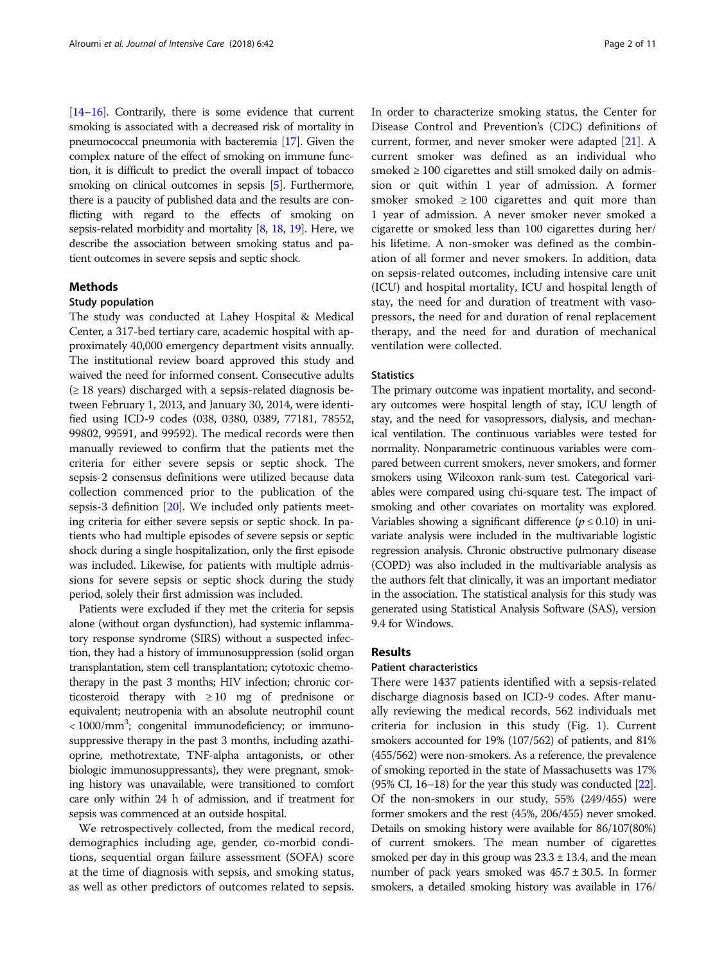[[14](#page-10-0)–[16](#page-10-0)]. Contrarily, there is some evidence that current smoking is associated with a decreased risk of mortality in pneumococcal pneumonia with bacteremia [[17](#page-10-0)]. Given the complex nature of the effect of smoking on immune function, it is difficult to predict the overall impact of tobacco smoking on clinical outcomes in sepsis [\[5](#page-9-0)]. Furthermore, there is a paucity of published data and the results are conflicting with regard to the effects of smoking on sepsis-related morbidity and mortality [\[8,](#page-10-0) [18](#page-10-0), [19\]](#page-10-0). Here, we describe the association between smoking status and patient outcomes in severe sepsis and septic shock.

## Methods

## Study population

The study was conducted at Lahey Hospital & Medical Center, a 317-bed tertiary care, academic hospital with approximately 40,000 emergency department visits annually. The institutional review board approved this study and waived the need for informed consent. Consecutive adults  $(\geq 18$  years) discharged with a sepsis-related diagnosis between February 1, 2013, and January 30, 2014, were identified using ICD-9 codes (038, 0380, 0389, 77181, 78552, 99802, 99591, and 99592). The medical records were then manually reviewed to confirm that the patients met the criteria for either severe sepsis or septic shock. The sepsis-2 consensus definitions were utilized because data collection commenced prior to the publication of the sepsis-3 definition [\[20\]](#page-10-0). We included only patients meeting criteria for either severe sepsis or septic shock. In patients who had multiple episodes of severe sepsis or septic shock during a single hospitalization, only the first episode was included. Likewise, for patients with multiple admissions for severe sepsis or septic shock during the study period, solely their first admission was included.

Patients were excluded if they met the criteria for sepsis alone (without organ dysfunction), had systemic inflammatory response syndrome (SIRS) without a suspected infection, they had a history of immunosuppression (solid organ transplantation, stem cell transplantation; cytotoxic chemotherapy in the past 3 months; HIV infection; chronic corticosteroid therapy with ≥ 10 mg of prednisone or equivalent; neutropenia with an absolute neutrophil count <1000/mm<sup>3</sup>; congenital immunodeficiency; or immunosuppressive therapy in the past 3 months, including azathioprine, methotrextate, TNF-alpha antagonists, or other biologic immunosuppressants), they were pregnant, smoking history was unavailable, were transitioned to comfort care only within 24 h of admission, and if treatment for sepsis was commenced at an outside hospital.

We retrospectively collected, from the medical record, demographics including age, gender, co-morbid conditions, sequential organ failure assessment (SOFA) score at the time of diagnosis with sepsis, and smoking status, as well as other predictors of outcomes related to sepsis. In order to characterize smoking status, the Center for Disease Control and Prevention's (CDC) definitions of current, former, and never smoker were adapted [[21\]](#page-10-0). A current smoker was defined as an individual who smoked ≥ 100 cigarettes and still smoked daily on admission or quit within 1 year of admission. A former smoker smoked  $\geq 100$  cigarettes and quit more than 1 year of admission. A never smoker never smoked a cigarette or smoked less than 100 cigarettes during her/ his lifetime. A non-smoker was defined as the combination of all former and never smokers. In addition, data on sepsis-related outcomes, including intensive care unit (ICU) and hospital mortality, ICU and hospital length of stay, the need for and duration of treatment with vasopressors, the need for and duration of renal replacement therapy, and the need for and duration of mechanical ventilation were collected.

## **Statistics**

The primary outcome was inpatient mortality, and secondary outcomes were hospital length of stay, ICU length of stay, and the need for vasopressors, dialysis, and mechanical ventilation. The continuous variables were tested for normality. Nonparametric continuous variables were compared between current smokers, never smokers, and former smokers using Wilcoxon rank-sum test. Categorical variables were compared using chi-square test. The impact of smoking and other covariates on mortality was explored. Variables showing a significant difference ( $p \le 0.10$ ) in univariate analysis were included in the multivariable logistic regression analysis. Chronic obstructive pulmonary disease (COPD) was also included in the multivariable analysis as the authors felt that clinically, it was an important mediator in the association. The statistical analysis for this study was generated using Statistical Analysis Software (SAS), version 9.4 for Windows.

## Results

#### Patient characteristics

There were 1437 patients identified with a sepsis-related discharge diagnosis based on ICD-9 codes. After manually reviewing the medical records, 562 individuals met criteria for inclusion in this study (Fig. [1\)](#page-2-0). Current smokers accounted for 19% (107/562) of patients, and 81% (455/562) were non-smokers. As a reference, the prevalence of smoking reported in the state of Massachusetts was 17%  $(95\% \text{ CI}, 16-18)$  for the year this study was conducted  $[22]$  $[22]$ . Of the non-smokers in our study, 55% (249/455) were former smokers and the rest (45%, 206/455) never smoked. Details on smoking history were available for 86/107(80%) of current smokers. The mean number of cigarettes smoked per day in this group was  $23.3 \pm 13.4$ , and the mean number of pack years smoked was  $45.7 \pm 30.5$ . In former smokers, a detailed smoking history was available in 176/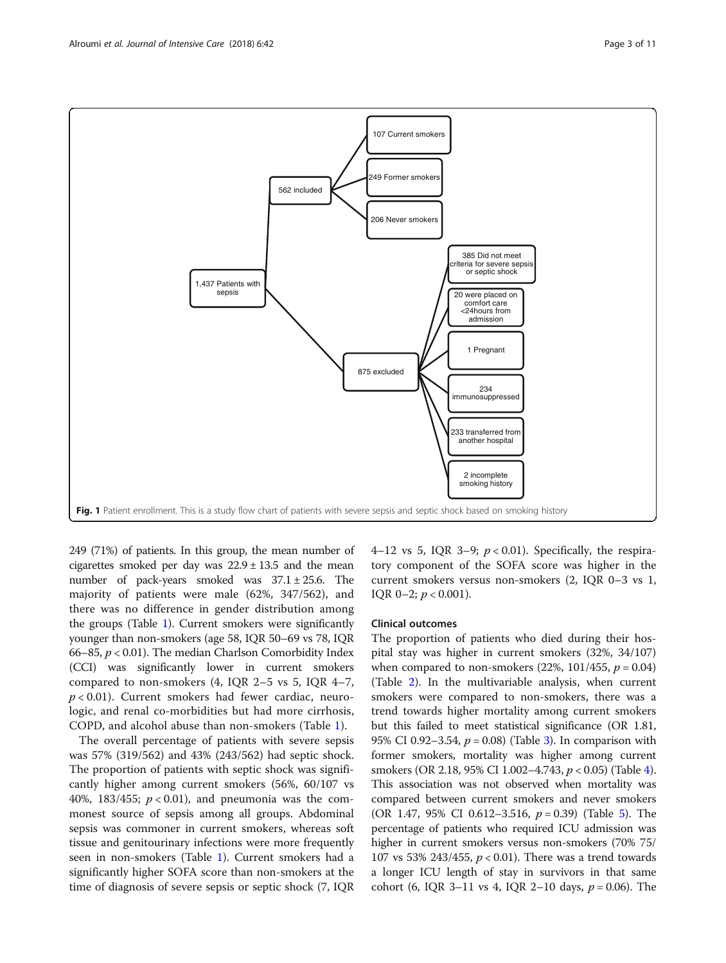<span id="page-2-0"></span>

249 (71%) of patients. In this group, the mean number of cigarettes smoked per day was 22.9 ± 13.5 and the mean number of pack-years smoked was  $37.1 \pm 25.6$ . The majority of patients were male (62%, 347/562), and there was no difference in gender distribution among the groups (Table [1\)](#page-3-0). Current smokers were significantly younger than non-smokers (age 58, IQR 50–69 vs 78, IQR 66–85,  $p < 0.01$ ). The median Charlson Comorbidity Index (CCI) was significantly lower in current smokers compared to non-smokers (4, IQR 2–5 vs 5, IQR 4–7,  $p < 0.01$ ). Current smokers had fewer cardiac, neurologic, and renal co-morbidities but had more cirrhosis, COPD, and alcohol abuse than non-smokers (Table [1](#page-3-0)).

The overall percentage of patients with severe sepsis was 57% (319/562) and 43% (243/562) had septic shock. The proportion of patients with septic shock was significantly higher among current smokers (56%, 60/107 vs 40%, 183/455;  $p < 0.01$ ), and pneumonia was the commonest source of sepsis among all groups. Abdominal sepsis was commoner in current smokers, whereas soft tissue and genitourinary infections were more frequently seen in non-smokers (Table [1\)](#page-3-0). Current smokers had a significantly higher SOFA score than non-smokers at the time of diagnosis of severe sepsis or septic shock (7, IQR 4–12 vs 5, IQR 3–9;  $p < 0.01$ ). Specifically, the respiratory component of the SOFA score was higher in the current smokers versus non-smokers (2, IQR 0–3 vs 1, IOR 0–2;  $p < 0.001$ ).

## Clinical outcomes

The proportion of patients who died during their hospital stay was higher in current smokers (32%, 34/107) when compared to non-smokers  $(22\%, 101/455, p = 0.04)$ (Table [2](#page-5-0)). In the multivariable analysis, when current smokers were compared to non-smokers, there was a trend towards higher mortality among current smokers but this failed to meet statistical significance (OR 1.81, 95% CI 0.92–[3](#page-6-0).54,  $p = 0.08$  (Table 3). In comparison with former smokers, mortality was higher among current smokers (OR 2.18, 95% CI 1.002–4.743, p < 0.05) (Table [4](#page-6-0)). This association was not observed when mortality was compared between current smokers and never smokers (OR 1.47, 95% CI 0.612–3.516,  $p = 0.39$ ) (Table [5\)](#page-7-0). The percentage of patients who required ICU admission was higher in current smokers versus non-smokers (70% 75/ 107 vs 53% 243/455,  $p < 0.01$ ). There was a trend towards a longer ICU length of stay in survivors in that same cohort (6, IQR 3–11 vs 4, IQR 2–10 days,  $p = 0.06$ ). The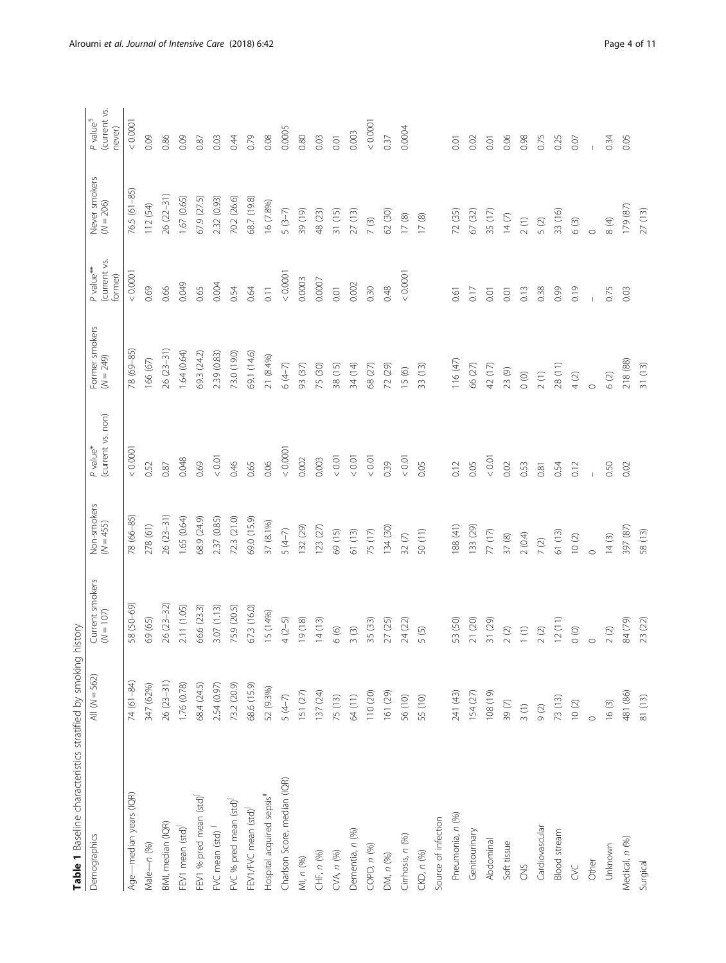<span id="page-3-0"></span>

| Table 1 Baseline characteristics stratified by smoking |                 | history                                         |                            |                               |                               |                                                  |                              |                                                |
|--------------------------------------------------------|-----------------|-------------------------------------------------|----------------------------|-------------------------------|-------------------------------|--------------------------------------------------|------------------------------|------------------------------------------------|
| Demographics                                           | All $(N = 562)$ | Current smokers<br>$(N = 107)$                  | Non-smokers<br>$(N = 455)$ | (current vs. non)<br>P value* | Former smokers<br>$(N = 249)$ | (current vs.<br>P value <sup>**</sup><br>former) | Never smokers<br>$(N = 206)$ | (current vs.<br>P value <sup>§</sup><br>never) |
| Age-median years (IQR)                                 | 74 (61-84)      | 58 (50-69)                                      | 78 (66-85)                 | 0.0001                        | 78 (69-85)                    | 0.0001                                           | 76.5 (61-85)                 | < 0.0001                                       |
| Male-n (%)                                             | 347 (62%)       | 69 (65)                                         | 278 (61)                   | 0.52                          | 166 (67)                      | 0.69                                             | 112 (54)                     | 0.09                                           |
| BMI, median (IQR)                                      | $26(23 - 31)$   | 26 (23-32)                                      | $26(23-31)$                | 0.87                          | $26(23-31)$                   | 0.66                                             | 26 (22-31)                   | 0.86                                           |
| FEV1 mean (std) <sup>[</sup>                           | 1.76 (0.78)     | 2.11 (1.05)                                     | 1.65 (0.64)                | 0.048                         | 1.64(0.64)                    | 0.049                                            | 1.67(0.65)                   | 0.09                                           |
| FEV1 % pred mean (std)                                 | 68.4 (24.5)     | 66.6 (23.3)                                     | 68.9 (24.9)                | 0.69                          | 69.3 (24.2)                   | 0.65                                             | 67.9 (27.5)                  | 0.87                                           |
| FVC mean (std) <sup>J</sup>                            | 2.54 (0.97)     | 3.07(1.13)                                      | 2.37 (0.85)                | $< 0.01$                      | 2.39 (0.83)                   | 0.004                                            | 2.32 (0.93)                  | 0.03                                           |
| FVC % pred mean (std) <sup>1</sup>                     | 73.2 (20.9)     | 75.9 (20.5)                                     | 72.3 (21.0)                | 0.46                          | 73.0 (19.0)                   | 0.54                                             | 70.2 (26.6)                  | 0.44                                           |
| FEV1/FVC mean (std)                                    | 68.6 (15.9)     | 67.3 (16.0)                                     | 69.0 (15.9)                | 0.65                          | 69.1 (14.6)                   | 0.64                                             | 68.7 (19.8)                  | 0.79                                           |
| Hospital acquired sepsis#                              | 52 (9.3%)       | 15 (14%)                                        | 37 (8.1%)                  | 0.06                          | 21 (8.4%)                     | 0.11                                             | 16 (7.8%)                    | 0.08                                           |
| Charlson Score, median (IQR)                           | $5(4-7)$        | $4(2-5)$                                        | $5(4-7)$                   | 0.0001                        | $6(4-7)$                      | < 0.0001                                         | $5(3-7)$                     | 0.0005                                         |
| MI, n (%)                                              | 151(27)         | 19(18)                                          | 132 (29)                   | 0.002                         | 93 (37)                       | 0.0003                                           | 39 (19)                      | 0.80                                           |
| CHF, n (%)                                             | 137 (24)        | 14(13)                                          | 123(27)                    | 0.003                         | 75 (30)                       | 0.0007                                           | 48 (23)                      | 0.03                                           |
| CVA, n (%)                                             | 75 (13)         | 6(6)                                            | 69 (15)                    | $< 0.01$                      | 38 (15)                       | 0.01                                             | 31(15)                       | 0.01                                           |
| Dementia, n (%)                                        | 64 (11)         | 3(3)                                            | 61 (13)                    | < 0.01                        | 34 (14)                       | 0.002                                            | 27(13)                       | 0.003                                          |
| COPD, n (%)                                            | 110 (20)        | 35 (33)                                         | 75 (17)                    | 0.01                          | 68 (27)                       | 0.30                                             | (3)                          | 0.0001                                         |
| DM, n (%)                                              | 161 (29)        | 27 (25)                                         | 134 (30)                   | 0.39                          | 72 (29)                       | 0.48                                             | 62 (30)                      | 0.37                                           |
| Cirrhosis, n (%)                                       | 56 (10)         | 24 (22)                                         | $32\ (7)$                  | < 0.01                        | 15 (6)                        | < 0.0001                                         | $17\ (8)$                    | 0.0004                                         |
| CKD, n (%)                                             | 55 (10)         | 5 (5)                                           | 50 (11)                    | 0.05                          | 33 (13)                       |                                                  | $17\ (8)$                    |                                                |
| Source of infection                                    |                 |                                                 |                            |                               |                               |                                                  |                              |                                                |
| Pneumonia, n (%)                                       | 241 (43)        | 53 (50)                                         | 188 (41)                   | 0.12                          | 116 (47)                      | $\overline{0.61}$                                | 72 (35)                      | 0.01                                           |
| Genitourinary                                          | 154(27)         | 21 (20)                                         | 133 (29)                   | 0.05                          | 66 (27)                       | 0.17                                             | 67 (32)                      | 0.02                                           |
| Abdominal                                              | $(61)$ 801      | 31 (29)                                         | 77 (17)                    | 0.01                          | 42 (17)                       | 0.01                                             | 35 (17)                      | 0.01                                           |
| Soft tissue                                            | $39(7)$         | $2\ (2)$                                        | $37\ (8)$                  | 0.02                          | 23 (9)                        | $\overline{0}$                                   | $14 (7)$                     | 0.06                                           |
| CNS                                                    | 3(1)            | $\left( \begin{array}{c} 1 \end{array} \right)$ | 2(0.4)                     | 0.53                          | $\circ$                       | 0.13                                             | 2(1)                         | 0.98                                           |
| Cardiovascular                                         | 9(2)            | $2\,$ (2)                                       | $7(2)$                     | 0.81                          | 2(1)                          | 0.38                                             | 5(2)                         | 0.75                                           |
| Blood stream                                           | 73 (13)         | 12(11)                                          | 61 (13)                    | 0.54                          | 28 (11)                       | 0.99                                             | 33 (16)                      | 0.25                                           |
| <b>SC</b>                                              | $10(2)$         | $\circ$                                         | 10(2)                      | 0.12                          | $4(2)$                        | 0.19                                             | 6(3)                         | 0.07                                           |
| Other                                                  |                 | $\circ$                                         | $\circ$                    |                               | $\circ$                       |                                                  | $\circ$                      |                                                |
| Unknown                                                | $16(3)$         | $2\ (2)$                                        | 14(3)                      | 0.50                          | 6(2)                          | 0.75                                             | $\circledast$                | 0.34                                           |
| Medical, n (%)                                         | 481 (86)        | 84 (79)                                         | 397 (87)                   | 0.02                          | 218 (88)                      | 0.03                                             | 179 (87)                     | 0.05                                           |
| Surgical                                               | 81(13)          | 23 (22)                                         | 58 (13)                    |                               | 31(13)                        |                                                  | 27(13)                       |                                                |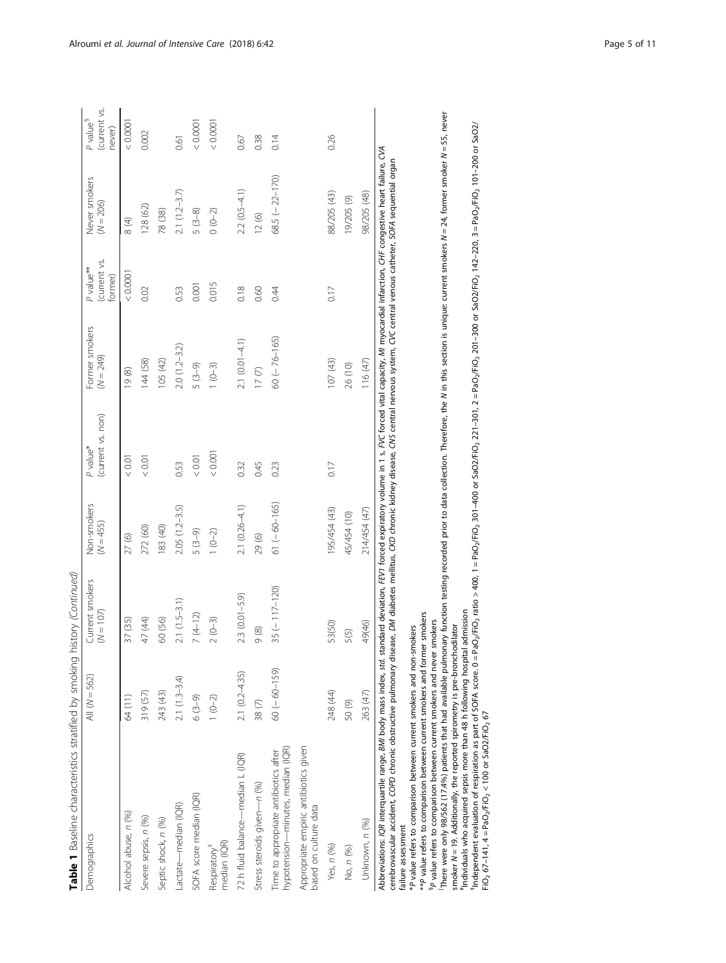| Table 1 Baseline characteristics stratified by smoking                                                                                                                                                                                                                                                                                                                                                                                                                                                                                                                                                                                                                                                                                                                                                                                                                                                                                                                                                                                                                                                                                                                                                                                                                                                                                                                                                                                                                                                                   |                    | nistory (Continued)            |                            |                               |                               |                                     |                              |                                                  |
|--------------------------------------------------------------------------------------------------------------------------------------------------------------------------------------------------------------------------------------------------------------------------------------------------------------------------------------------------------------------------------------------------------------------------------------------------------------------------------------------------------------------------------------------------------------------------------------------------------------------------------------------------------------------------------------------------------------------------------------------------------------------------------------------------------------------------------------------------------------------------------------------------------------------------------------------------------------------------------------------------------------------------------------------------------------------------------------------------------------------------------------------------------------------------------------------------------------------------------------------------------------------------------------------------------------------------------------------------------------------------------------------------------------------------------------------------------------------------------------------------------------------------|--------------------|--------------------------------|----------------------------|-------------------------------|-------------------------------|-------------------------------------|------------------------------|--------------------------------------------------|
| Demographics                                                                                                                                                                                                                                                                                                                                                                                                                                                                                                                                                                                                                                                                                                                                                                                                                                                                                                                                                                                                                                                                                                                                                                                                                                                                                                                                                                                                                                                                                                             | All $(N = 562)$    | Current smokers<br>$(N = 107)$ | Non-smokers<br>$(N = 455)$ | (current vs. non)<br>P value* | Former smokers<br>$(N = 249)$ | (current vs.<br>P value**<br>ormer) | Never smokers<br>$(N = 206)$ | (current vs.<br>$P$ value <sup>§</sup><br>never) |
| Alcohol abuse, n (%)                                                                                                                                                                                                                                                                                                                                                                                                                                                                                                                                                                                                                                                                                                                                                                                                                                                                                                                                                                                                                                                                                                                                                                                                                                                                                                                                                                                                                                                                                                     | 64 (11)            | 37 (35)                        | 27(6)                      | 0.01                          | 19(8)                         | 0.0001                              | 8(4)                         | 0.0001                                           |
| Severe sepsis, n (%)                                                                                                                                                                                                                                                                                                                                                                                                                                                                                                                                                                                                                                                                                                                                                                                                                                                                                                                                                                                                                                                                                                                                                                                                                                                                                                                                                                                                                                                                                                     | 319 (57)           | 47 (44)                        | 272 (60)                   | 0.01                          | 144 (58)                      | 0.02                                | 128 (62)                     | 0.002                                            |
| Septic shock, n (%)                                                                                                                                                                                                                                                                                                                                                                                                                                                                                                                                                                                                                                                                                                                                                                                                                                                                                                                                                                                                                                                                                                                                                                                                                                                                                                                                                                                                                                                                                                      | 243 (43)           | 60 (56)                        | 183 (40)                   |                               | 105 (42)                      |                                     | 78 (38)                      |                                                  |
| Lactate-median (IQR)                                                                                                                                                                                                                                                                                                                                                                                                                                                                                                                                                                                                                                                                                                                                                                                                                                                                                                                                                                                                                                                                                                                                                                                                                                                                                                                                                                                                                                                                                                     | $2.1(1.3-3.4)$     | $2.1(1.5-3.1)$                 | $2.05(1.2-3.5)$            | 0.53                          | $2.0(1.2 - 3.2)$              | 0.53                                | $2.1(1.2-3.7)$               | 0.61                                             |
| SOFA score median (IQR)                                                                                                                                                                                                                                                                                                                                                                                                                                                                                                                                                                                                                                                                                                                                                                                                                                                                                                                                                                                                                                                                                                                                                                                                                                                                                                                                                                                                                                                                                                  | $6(3-9)$           | $7(4-12)$                      | $5(3-9)$                   | 0.01                          | $5(3-9)$                      | 0.001                               | $5(3-8)$                     | < 0.0001                                         |
| median (IQR)<br>Respiratory <sup>#</sup>                                                                                                                                                                                                                                                                                                                                                                                                                                                                                                                                                                                                                                                                                                                                                                                                                                                                                                                                                                                                                                                                                                                                                                                                                                                                                                                                                                                                                                                                                 | $1(0-2)$           | $2(0-3)$                       | $1 (0 - 2)$                | 0.001                         | $1 (0-3)$                     | 0.015                               | $0 (0 - 2)$                  | < 0.0001                                         |
| 72 h fluid balance-median L (IQR)                                                                                                                                                                                                                                                                                                                                                                                                                                                                                                                                                                                                                                                                                                                                                                                                                                                                                                                                                                                                                                                                                                                                                                                                                                                                                                                                                                                                                                                                                        | $2.1 (0.2 - 4.35)$ | $2.3(0.01 - 5.9)$              | $2.1(0.26 - 4.1)$          | 0.32                          | $2.1(0.01 - 4.1)$             | 0.18                                | $2.2 (0.5 - 4.1)$            | 0.67                                             |
| Stress steroids given-n (%)                                                                                                                                                                                                                                                                                                                                                                                                                                                                                                                                                                                                                                                                                                                                                                                                                                                                                                                                                                                                                                                                                                                                                                                                                                                                                                                                                                                                                                                                                              | 38 <sub>(7)</sub>  | 9(8)                           | 29(6)                      | 0.45                          | 17(7)                         | 0.60                                | 12(6)                        | 0.38                                             |
| hypotension—minutes, median (IQR)<br>Time to appropriate antibiotics after                                                                                                                                                                                                                                                                                                                                                                                                                                                                                                                                                                                                                                                                                                                                                                                                                                                                                                                                                                                                                                                                                                                                                                                                                                                                                                                                                                                                                                               | $60 (-60 - 159)$   | $35 (-117 - 120)$              | $61 (-60 - 165)$           | 0.23                          | $60 (-76 - 165)$              | 0.44                                | 68.5 $(-22 - 170)$           | 0.14                                             |
| Appropriate empiric antibiotics given<br>based on culture data                                                                                                                                                                                                                                                                                                                                                                                                                                                                                                                                                                                                                                                                                                                                                                                                                                                                                                                                                                                                                                                                                                                                                                                                                                                                                                                                                                                                                                                           |                    |                                |                            |                               |                               |                                     |                              |                                                  |
| Yes, n (%)                                                                                                                                                                                                                                                                                                                                                                                                                                                                                                                                                                                                                                                                                                                                                                                                                                                                                                                                                                                                                                                                                                                                                                                                                                                                                                                                                                                                                                                                                                               | 248 (44)           | 53(50)                         | 195/454 (43)               | 0.17                          | 107(43)                       | 0.17                                | 88/205 (43)                  | 0.26                                             |
| No, n (%)                                                                                                                                                                                                                                                                                                                                                                                                                                                                                                                                                                                                                                                                                                                                                                                                                                                                                                                                                                                                                                                                                                                                                                                                                                                                                                                                                                                                                                                                                                                | 50(9)              | 5(5)                           | 45/454 (10)                |                               | 26 (10)                       |                                     | 19/205 (9)                   |                                                  |
| Unknown, n (%)                                                                                                                                                                                                                                                                                                                                                                                                                                                                                                                                                                                                                                                                                                                                                                                                                                                                                                                                                                                                                                                                                                                                                                                                                                                                                                                                                                                                                                                                                                           | 263 (47)           | 49(46)                         | 214/454 (47)               |                               | 116(47)                       |                                     | 98/205 (48)                  |                                                  |
| There were only 98/562 (17.4%) patients that had available pulmonary function testing recorded prior to data collection. Therefore, the N in this section is unique: current smokers $N=24$ , former smoker N = 55, never<br>$^{\dagger}$ hdependent evaluation of respiration as part of SOFA score. 0 = PaO <sub>2</sub> /FiO <sub>2</sub> ortio > 400, 1 = PaO <sub>2</sub> /FiO <sub>2</sub> 301-400 or SaO2/FiO <sub>2</sub> 201-200 or SaO2/FiO <sub>2</sub> 1420.201-200 or SaO2/FiO <sub>2</sub> 142-220.3 = PaO <sub>2</sub> /FiO <sub>2</sub> 101-2<br>Abbreviations: IQR interquartile range, BMI body mass index, std. standard deviation, FEVI forced xpiratory volume in 1 s, FVC forced vital capacity, MI myocardial infarction, CHF congestive heart failure, CVA<br>cerebrovascular accident, COPD chronic obstructive pulmonary disease, DM diabetes mellitus, CKD chronic kidney disease, CNS central nervous system, CVC central venous catheter, SOFA sequential organ<br>"Individuals who acquired sepsis more than 48 h following hospital admission<br>**P value refers to comparison between current smokers and former smokers<br><sup>5</sup> P value refers to comparison between current smokers and never smokers<br>smoker N = 19. Additionally, the reported spirometry is pre-bronchodilator<br>P value refers to comparison between current smokers and non-smokers<br>$F1O_2$ 67-141, 4 = PaO <sub>2</sub> /FiO <sub>2</sub> < 100 or SaO2/FiO <sub>2</sub> 67<br>failure assessment |                    |                                |                            |                               |                               |                                     |                              |                                                  |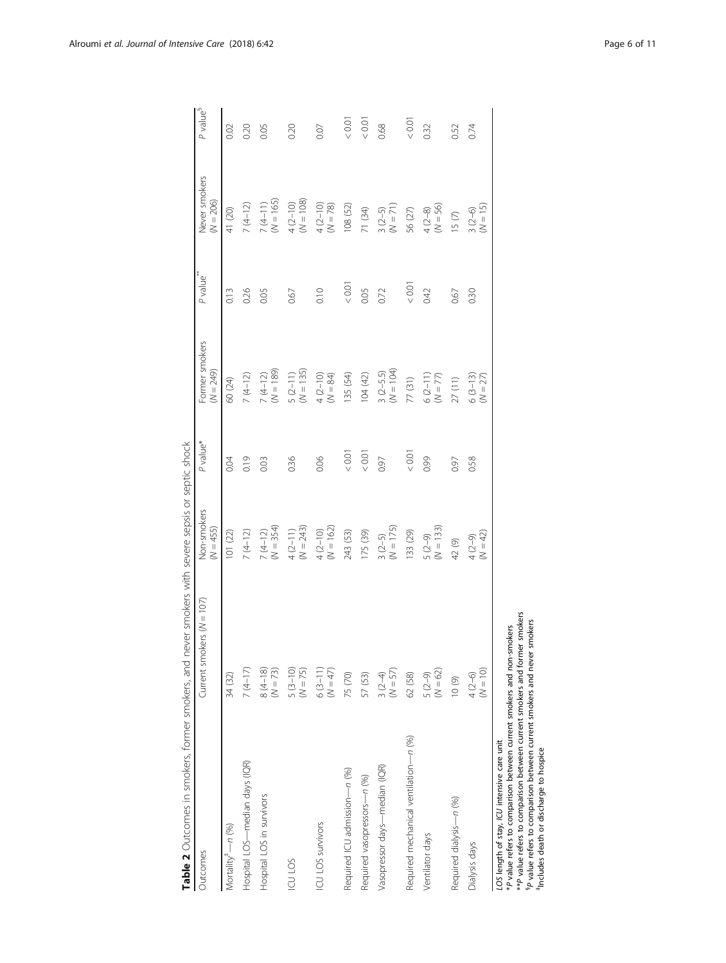<span id="page-5-0"></span>

| Table 2 Outcomes in smokers, former smokers, and n                                                                                                                                                                                                                                                                                               |                               | never smokers with severe sepsis or septic shock |          |                               |                       |                              |                      |
|--------------------------------------------------------------------------------------------------------------------------------------------------------------------------------------------------------------------------------------------------------------------------------------------------------------------------------------------------|-------------------------------|--------------------------------------------------|----------|-------------------------------|-----------------------|------------------------------|----------------------|
| Outcomes                                                                                                                                                                                                                                                                                                                                         | Current smokers ( $N = 107$ ) | Non-smokers<br>(N = 455)                         | P value* | Former smokers<br>$(N = 249)$ | P value <sup>**</sup> | Never smokers<br>$(N = 206)$ | P value <sup>§</sup> |
| Mortality <sup>#</sup> -n (%)                                                                                                                                                                                                                                                                                                                    | 34 (32)                       | 101 (22)                                         | 0.04     | 60 (24)                       | 0.13                  | 41 (20)                      | 0.02                 |
| Hospital LOS-median days (IQR)                                                                                                                                                                                                                                                                                                                   | $7(4-17)$                     | $7(4-12)$                                        | 0.19     | $7(4-12)$                     | 0.26                  | $7(4-12)$                    | 0.20                 |
| Hospital LOS in survivors                                                                                                                                                                                                                                                                                                                        | $8(4-18)$<br>$(N = 73)$       | $7(4-12)$<br>$(M = 354)$                         | 0.03     | $7(4-12)$<br>(N = 189)        | 0.05                  | $7(4-11)$<br>$(M = 165)$     | 0.05                 |
| ICU LOS                                                                                                                                                                                                                                                                                                                                          | $5(3-10)$<br>$(N = 75)$       | $4(2-11)$<br>$(M = 243)$                         | 0.36     | $5(2-11)$<br>$(N = 135)$      | 0.67                  | $4(2-10)$<br>(N = 108)       | 0.20                 |
| ICU LOS survivors                                                                                                                                                                                                                                                                                                                                | $6(3-11)$<br>$(N = 47)$       | $4(2-10)$<br>(N = 162)                           | 0.06     | $4 (2 - 10)$<br>(N = 84)      | 0.10                  | $4(2-10)$<br>$(M = 78)$      | 0.07                 |
| Required ICU admission-n (%)                                                                                                                                                                                                                                                                                                                     | 75 (70)                       | 243 (53)                                         | $< 0.01$ | 135 (54)                      | 0.01                  | 108 (52)                     | < 0.01               |
| Required vasopressors-n (%)                                                                                                                                                                                                                                                                                                                      | 57 (53)                       | 175 (39)                                         | $< 0.01$ | 104(42)                       | 0.05                  | 71 (34)                      | < 0.01               |
| Vasopressor days—median (IQR)                                                                                                                                                                                                                                                                                                                    | $(N = 57)$<br>$3(2-4)$        | $3(2-5)$<br>(N = 175)                            | 0.97     | $3 (2-5.5)$<br>(N = 104)      | 0.72                  | $3 (2-5)$<br>(N = 71)        | 0.68                 |
| Required mechanical ventilation-n (%)                                                                                                                                                                                                                                                                                                            | 62 (58)                       | 133 (29)                                         | < 0.01   | 77 (31)                       | < 0.01                | 56 (27)                      | < 0.01               |
| Ventilator days                                                                                                                                                                                                                                                                                                                                  | $(N = 62)$<br>$5(2-9)$        | $(N = 133)$<br>$5(2-9)$                          | 0.99     | $6(2-11)$<br>$(N = 77)$       | 0.42                  | $(N = 56)$<br>$4(2-8)$       | 0.32                 |
| Required dialysis-n (%)                                                                                                                                                                                                                                                                                                                          | 10(9)                         | 42 (9)                                           | 0.97     | 27(11)                        | 0.67                  | 15(7)                        | 0.52                 |
| Dialysis days                                                                                                                                                                                                                                                                                                                                    | $(N = 10)$<br>$4(2-6)$        | $(N = 42)$<br>$4(2-9)$                           | 0.58     | $6(3-13)$<br>$(N = 27)$       | 0.30                  | $(N = 15)$<br>$3(2-6)$       | 0.74                 |
| ** P value refers to comparison between current smokers and former smokers<br><sup>5</sup> P value refers to comparison between current smokers and never smokers<br>*P value refers to comparison between current smokers and non-smokers<br>LOS length of stay, ICU intensive care unit<br><sup>#</sup> Includes death or discharge to hospice |                               |                                                  |          |                               |                       |                              |                      |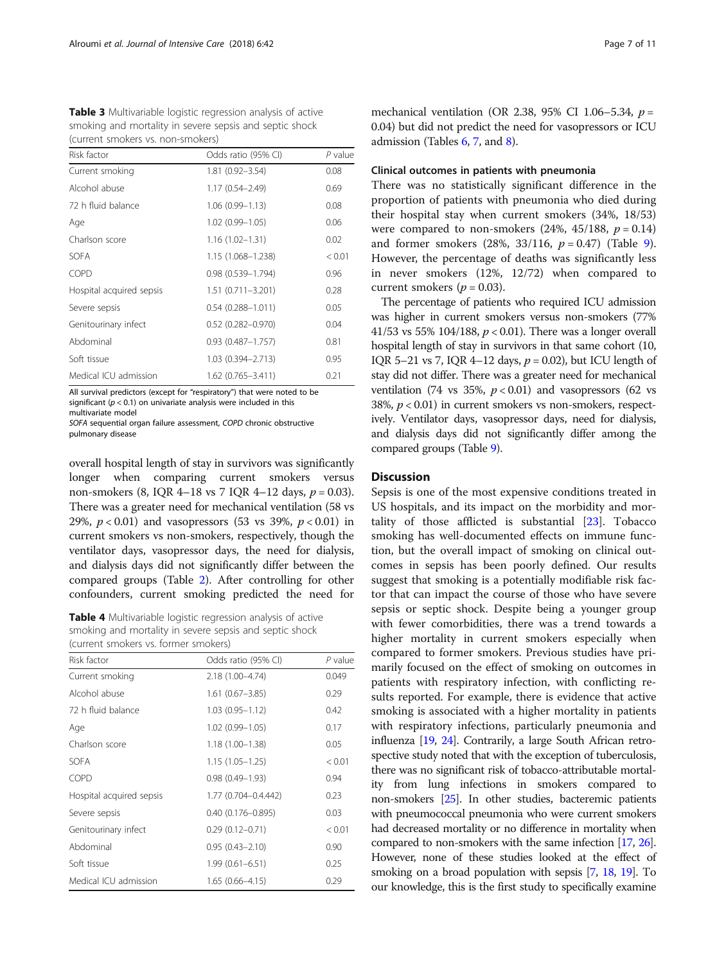<span id="page-6-0"></span>

| Table 3 Multivariable logistic regression analysis of active |
|--------------------------------------------------------------|
| smoking and mortality in severe sepsis and septic shock      |
| (current smokers vs. non-smokers)                            |

| Risk factor              | Odds ratio (95% CI)      | $P$ value |
|--------------------------|--------------------------|-----------|
| Current smoking          | 1.81 (0.92-3.54)         | 0.08      |
| Alcohol abuse            | $1.17(0.54 - 2.49)$      | 0.69      |
| 72 h fluid balance       | $1.06(0.99 - 1.13)$      | 0.08      |
| Age                      | 1.02 (0.99-1.05)         | 0.06      |
| Charlson score           | $1.16(1.02 - 1.31)$      | 0.02      |
| <b>SOFA</b>              | 1.15 (1.068-1.238)       | < 0.01    |
| COPD                     | $0.98(0.539 - 1.794)$    | 0.96      |
| Hospital acquired sepsis | 1.51 (0.711-3.201)       | 0.28      |
| Severe sepsis            | $0.54$ $(0.288 - 1.011)$ | 0.05      |
| Genitourinary infect     | $0.52$ (0.282-0.970)     | 0.04      |
| Abdominal                | $0.93$ $(0.487 - 1.757)$ | 0.81      |
| Soft tissue              | 1.03 (0.394-2.713)       | 0.95      |
| Medical ICU admission    | 1.62 (0.765-3.411)       | 0.21      |

All survival predictors (except for "respiratory") that were noted to be significant ( $p < 0.1$ ) on univariate analysis were included in this multivariate model

SOFA sequential organ failure assessment, COPD chronic obstructive pulmonary disease

overall hospital length of stay in survivors was significantly longer when comparing current smokers versus non-smokers (8, IQR 4–18 vs 7 IQR 4–12 days,  $p = 0.03$ ). There was a greater need for mechanical ventilation (58 vs 29%,  $p < 0.01$ ) and vasopressors (53 vs 39%,  $p < 0.01$ ) in current smokers vs non-smokers, respectively, though the ventilator days, vasopressor days, the need for dialysis, and dialysis days did not significantly differ between the compared groups (Table [2](#page-5-0)). After controlling for other confounders, current smoking predicted the need for

Table 4 Multivariable logistic regression analysis of active smoking and mortality in severe sepsis and septic shock (current smokers vs. former smokers)

| Risk factor              | Odds ratio (95% CI)   | P value |
|--------------------------|-----------------------|---------|
| Current smoking          | 2.18 (1.00-4.74)      | 0.049   |
| Alcohol abuse            | $1.61(0.67 - 3.85)$   | 0.29    |
| 72 h fluid balance       | $1.03(0.95 - 1.12)$   | 0.42    |
| Age                      | $1.02(0.99 - 1.05)$   | 0.17    |
| Charlson score           | $1.18(1.00 - 1.38)$   | 0.05    |
| <b>SOFA</b>              | $1.15(1.05 - 1.25)$   | < 0.01  |
| COPD                     | $0.98(0.49 - 1.93)$   | 0.94    |
| Hospital acquired sepsis | 1.77 (0.704-0.4.442)  | 0.23    |
| Severe sepsis            | $0.40(0.176 - 0.895)$ | 0.03    |
| Genitourinary infect     | $0.29(0.12 - 0.71)$   | < 0.01  |
| Abdominal                | $0.95(0.43 - 2.10)$   | 0.90    |
| Soft tissue              | $1.99(0.61 - 6.51)$   | 0.25    |
| Medical ICU admission    | $1.65(0.66 - 4.15)$   | 0.29    |

mechanical ventilation (OR 2.38, 95% CI 1.06–5.34,  $p =$ 0.04) but did not predict the need for vasopressors or ICU admission (Tables [6,](#page-7-0) [7](#page-7-0), and [8\)](#page-7-0).

## Clinical outcomes in patients with pneumonia

There was no statistically significant difference in the proportion of patients with pneumonia who died during their hospital stay when current smokers (34%, 18/53) were compared to non-smokers  $(24\%, 45/188, p = 0.14)$ and former smokers  $(28\%, 33/116, p = 0.47)$  (Table [9](#page-8-0)). However, the percentage of deaths was significantly less in never smokers (12%, 12/72) when compared to current smokers ( $p = 0.03$ ).

The percentage of patients who required ICU admission was higher in current smokers versus non-smokers (77% 41/53 vs 55% 104/188,  $p < 0.01$ ). There was a longer overall hospital length of stay in survivors in that same cohort (10, IQR 5–21 vs 7, IQR 4–12 days,  $p = 0.02$ ), but ICU length of stay did not differ. There was a greater need for mechanical ventilation (74 vs 35%,  $p < 0.01$ ) and vasopressors (62 vs 38%,  $p < 0.01$ ) in current smokers vs non-smokers, respectively. Ventilator days, vasopressor days, need for dialysis, and dialysis days did not significantly differ among the compared groups (Table [9](#page-8-0)).

## **Discussion**

Sepsis is one of the most expensive conditions treated in US hospitals, and its impact on the morbidity and mortality of those afflicted is substantial [\[23](#page-10-0)]. Tobacco smoking has well-documented effects on immune function, but the overall impact of smoking on clinical outcomes in sepsis has been poorly defined. Our results suggest that smoking is a potentially modifiable risk factor that can impact the course of those who have severe sepsis or septic shock. Despite being a younger group with fewer comorbidities, there was a trend towards a higher mortality in current smokers especially when compared to former smokers. Previous studies have primarily focused on the effect of smoking on outcomes in patients with respiratory infection, with conflicting results reported. For example, there is evidence that active smoking is associated with a higher mortality in patients with respiratory infections, particularly pneumonia and influenza [\[19,](#page-10-0) [24\]](#page-10-0). Contrarily, a large South African retrospective study noted that with the exception of tuberculosis, there was no significant risk of tobacco-attributable mortality from lung infections in smokers compared to non-smokers [[25](#page-10-0)]. In other studies, bacteremic patients with pneumococcal pneumonia who were current smokers had decreased mortality or no difference in mortality when compared to non-smokers with the same infection [[17](#page-10-0), [26](#page-10-0)]. However, none of these studies looked at the effect of smoking on a broad population with sepsis [\[7,](#page-9-0) [18,](#page-10-0) [19\]](#page-10-0). To our knowledge, this is the first study to specifically examine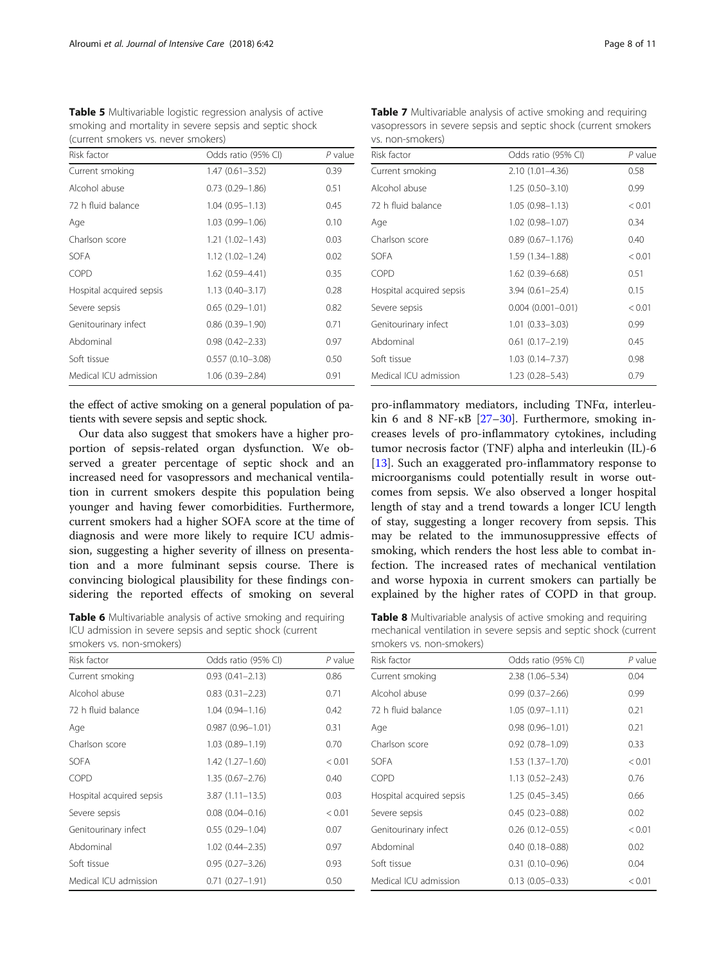| (CUTTELL SITIORETS VS. LIEVEL SITIORETS) |                      |           |
|------------------------------------------|----------------------|-----------|
| Risk factor                              | Odds ratio (95% CI)  | $P$ value |
| Current smoking                          | $1.47(0.61 - 3.52)$  | 0.39      |
| Alcohol abuse                            | $0.73(0.29 - 1.86)$  | 0.51      |
| 72 h fluid balance                       | $1.04(0.95 - 1.13)$  | 0.45      |
| Age                                      | $1.03(0.99 - 1.06)$  | 0.10      |
| Charlson score                           | $1.21(1.02 - 1.43)$  | 0.03      |
| <b>SOFA</b>                              | $1.12(1.02 - 1.24)$  | 0.02      |
| COPD                                     | 1.62 (0.59-4.41)     | 0.35      |
| Hospital acquired sepsis                 | $1.13(0.40 - 3.17)$  | 0.28      |
| Severe sepsis                            | $0.65(0.29 - 1.01)$  | 0.82      |
| Genitourinary infect                     | $0.86(0.39 - 1.90)$  | 0.71      |
| Abdominal                                | $0.98(0.42 - 2.33)$  | 0.97      |
| Soft tissue                              | $0.557(0.10 - 3.08)$ | 0.50      |
| Medical ICU admission                    | 1.06 (0.39-2.84)     | 0.91      |

<span id="page-7-0"></span>Table 5 Multivariable logistic regression analysis of active smoking and mortality in severe sepsis and septic shock (current smokers vs. never smokers)

the effect of active smoking on a general population of patients with severe sepsis and septic shock.

Our data also suggest that smokers have a higher proportion of sepsis-related organ dysfunction. We observed a greater percentage of septic shock and an increased need for vasopressors and mechanical ventilation in current smokers despite this population being younger and having fewer comorbidities. Furthermore, current smokers had a higher SOFA score at the time of diagnosis and were more likely to require ICU admission, suggesting a higher severity of illness on presentation and a more fulminant sepsis course. There is convincing biological plausibility for these findings considering the reported effects of smoking on several

Table 6 Multivariable analysis of active smoking and requiring ICU admission in severe sepsis and septic shock (current smokers vs. non-smokers)

| Risk factor              | Odds ratio (95% CI)    | $P$ value |
|--------------------------|------------------------|-----------|
| Current smoking          | $0.93(0.41 - 2.13)$    | 0.86      |
| Alcohol abuse            | $0.83$ $(0.31 - 2.23)$ | 0.71      |
| 72 h fluid balance       | $1.04(0.94 - 1.16)$    | 0.42      |
| Age                      | $0.987(0.96 - 1.01)$   | 0.31      |
| Charlson score           | 1.03 (0.89-1.19)       | 0.70      |
| <b>SOFA</b>              | $1.42(1.27 - 1.60)$    | < 0.01    |
| COPD                     | $1.35(0.67 - 2.76)$    | 0.40      |
| Hospital acquired sepsis | $3.87(1.11 - 13.5)$    | 0.03      |
| Severe sepsis            | $0.08$ $(0.04 - 0.16)$ | < 0.01    |
| Genitourinary infect     | $0.55(0.29 - 1.04)$    | 0.07      |
| Abdominal                | $1.02$ $(0.44 - 2.35)$ | 0.97      |
| Soft tissue              | $0.95(0.27 - 3.26)$    | 0.93      |
| Medical ICU admission    | $0.71(0.27 - 1.91)$    | 0.50      |

**Table 7** Multivariable analysis of active smoking and requiring vasopressors in severe sepsis and septic shock (current smokers vs. non-smokers)

| Risk factor              | Odds ratio (95% CI)      | $P$ value |
|--------------------------|--------------------------|-----------|
| Current smoking          | 2.10 (1.01-4.36)         | 0.58      |
| Alcohol abuse            | $1.25(0.50 - 3.10)$      | 0.99      |
| 72 h fluid balance       | $1.05(0.98 - 1.13)$      | < 0.01    |
| Age                      | 1.02 (0.98-1.07)         | 0.34      |
| Charlson score           | $0.89(0.67 - 1.176)$     | 0.40      |
| <b>SOFA</b>              | 1.59 (1.34–1.88)         | < 0.01    |
| <b>COPD</b>              | 1.62 (0.39-6.68)         | 0.51      |
| Hospital acquired sepsis | $3.94(0.61 - 25.4)$      | 0.15      |
| Severe sepsis            | $0.004$ $(0.001 - 0.01)$ | < 0.01    |
| Genitourinary infect     | $1.01(0.33 - 3.03)$      | 0.99      |
| Abdominal                | $0.61(0.17 - 2.19)$      | 0.45      |
| Soft tissue              | $1.03(0.14 - 7.37)$      | 0.98      |
| Medical ICU admission    | $1.23(0.28 - 5.43)$      | 0.79      |

pro-inflammatory mediators, including TNFα, interleukin 6 and 8 NF-κB [\[27](#page-10-0)–[30\]](#page-10-0). Furthermore, smoking increases levels of pro-inflammatory cytokines, including tumor necrosis factor (TNF) alpha and interleukin (IL)-6 [[13\]](#page-10-0). Such an exaggerated pro-inflammatory response to microorganisms could potentially result in worse outcomes from sepsis. We also observed a longer hospital length of stay and a trend towards a longer ICU length of stay, suggesting a longer recovery from sepsis. This may be related to the immunosuppressive effects of smoking, which renders the host less able to combat infection. The increased rates of mechanical ventilation and worse hypoxia in current smokers can partially be explained by the higher rates of COPD in that group.

Table 8 Multivariable analysis of active smoking and requiring mechanical ventilation in severe sepsis and septic shock (current smokers vs. non-smokers)

| Risk factor              | Odds ratio (95% CI) | P value |
|--------------------------|---------------------|---------|
| Current smoking          | $2.38(1.06 - 5.34)$ | 0.04    |
| Alcohol abuse            | $0.99(0.37 - 2.66)$ | 0.99    |
| 72 h fluid balance       | $1.05(0.97 - 1.11)$ | 0.21    |
| Age                      | $0.98(0.96 - 1.01)$ | 0.21    |
| Charlson score           | $0.92(0.78 - 1.09)$ | 0.33    |
| <b>SOFA</b>              | $1.53(1.37 - 1.70)$ | < 0.01  |
| COPD                     | $1.13(0.52 - 2.43)$ | 0.76    |
| Hospital acquired sepsis | $1.25(0.45 - 3.45)$ | 0.66    |
| Severe sepsis            | $0.45(0.23 - 0.88)$ | 0.02    |
| Genitourinary infect     | $0.26$ (0.12-0.55)  | < 0.01  |
| Abdominal                | $0.40(0.18 - 0.88)$ | 0.02    |
| Soft tissue              | $0.31(0.10 - 0.96)$ | 0.04    |
| Medical ICU admission    | $0.13(0.05 - 0.33)$ | < 0.01  |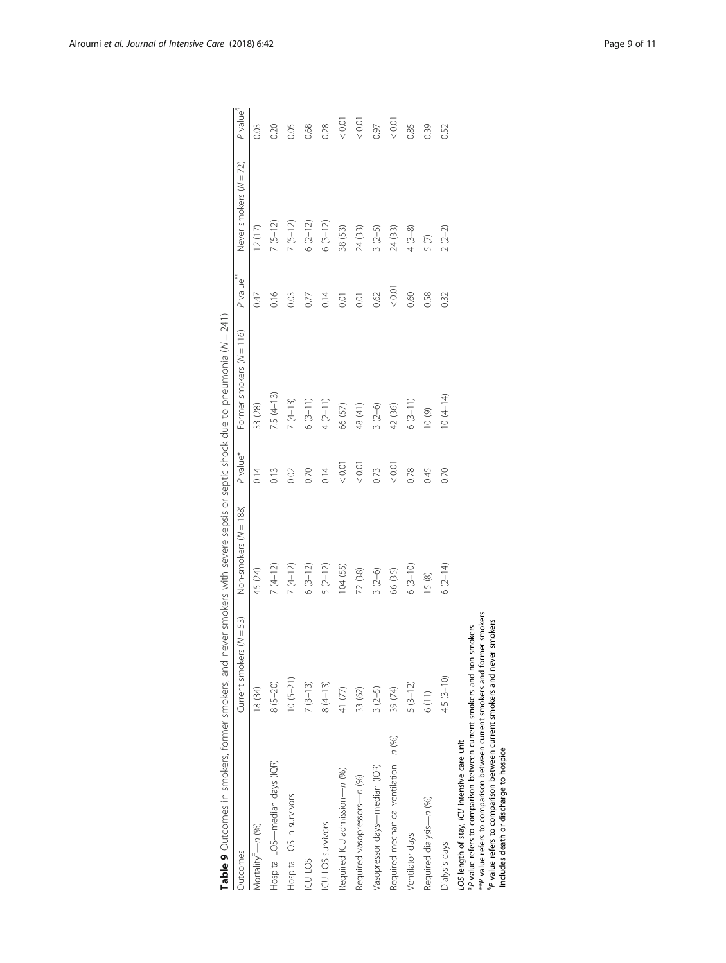<span id="page-8-0"></span>

| Outcomes                                                                                                                                                                                                                                                                                                       | $(N = 53)$<br>Current smokers | Non-smokers (N = 188) | P value* | Former smokers (N = 116) | 薯米<br>P value <sup>®</sup> | Never smokers (N = 72) | P value <sup>s</sup> |
|----------------------------------------------------------------------------------------------------------------------------------------------------------------------------------------------------------------------------------------------------------------------------------------------------------------|-------------------------------|-----------------------|----------|--------------------------|----------------------------|------------------------|----------------------|
| Mortality <sup>#</sup> -n (%)                                                                                                                                                                                                                                                                                  | 18 (34)                       | 45 (24)               | 0.14     | 33 (28)                  | 0.47                       | 12(17)                 | 0.03                 |
| Hospital LOS-median days (IQR)                                                                                                                                                                                                                                                                                 | $8(5 - 20)$                   | $7(4-12)$             | 0.13     | $7.5(4-13)$              | 0.16                       | $7(5-12)$              | 0.20                 |
| Hospital LOS in survivors                                                                                                                                                                                                                                                                                      | $10(5-21)$                    | $7(4-12)$             | 0.02     | $7(4-13)$                | 0.03                       | $7(5-12)$              | 0.05                 |
| ICU LOS                                                                                                                                                                                                                                                                                                        | $7(3-13)$                     | $6(3-12)$             | 0.70     | $6(3-11)$                | 0.77                       | $6(2-12)$              | 0.68                 |
| ICU LOS survivors                                                                                                                                                                                                                                                                                              | $8(4-13)$                     | $5(2-12)$             | 0.14     | $4(2-11)$                | 0.14                       | $6(3-12)$              | 0.28                 |
| Required ICU admission-n (%)                                                                                                                                                                                                                                                                                   | 41 (77)                       | 104(55)               | &0.0     | 66 (57)                  | 0.01                       | 38 (53)                | $\sim 0.0$           |
| Required vasopressors-n (%)                                                                                                                                                                                                                                                                                    | 33 (62)                       | 72 (38)               | 0.01     | 48 (41)                  | 0.01                       | 24 (33)                | $\sim 0.0$           |
| Vasopressor days-median (IQR)                                                                                                                                                                                                                                                                                  | $3(2-5)$                      | $3(2-6)$              | 0.73     | $3(2-6)$                 | 0.62                       | $3(2-5)$               | 0.97                 |
| Required mechanical ventilation-n (%)                                                                                                                                                                                                                                                                          | 39 (74)                       | 66 (35)               | 0.0<     | 42 (36)                  | 0.01                       | 24 (33)                | $\sim 0.0$           |
| Ventilator days                                                                                                                                                                                                                                                                                                | $5(3-12)$                     | $6(3-10)$             | 0.78     | $6(3-11)$                | 0.60                       | $4(3-8)$               | 0.85                 |
| Required dialysis-n (%)                                                                                                                                                                                                                                                                                        | 6(11)                         | 15(8)                 | 0.45     | (6)01                    | 0.58                       | 5(7)                   | 0.39                 |
| Dialysis days                                                                                                                                                                                                                                                                                                  | $4.5(3 - 10)$                 | $6(2-14)$             | 0.70     | $0(4-14)$                | 0.32                       | $2(2-2)$               | 0.52                 |
| ** P value refers to comparison between current smokers and former smokers<br>*P value refers to comparison between current smokers and non-smokers<br>P value refers to comparison between current smokers and never<br>LOS length of stay, ICU intensive care unit<br>includes death or discharge to hospice | smokers                       |                       |          |                          |                            |                        |                      |

‡Includes death or discharge to hospice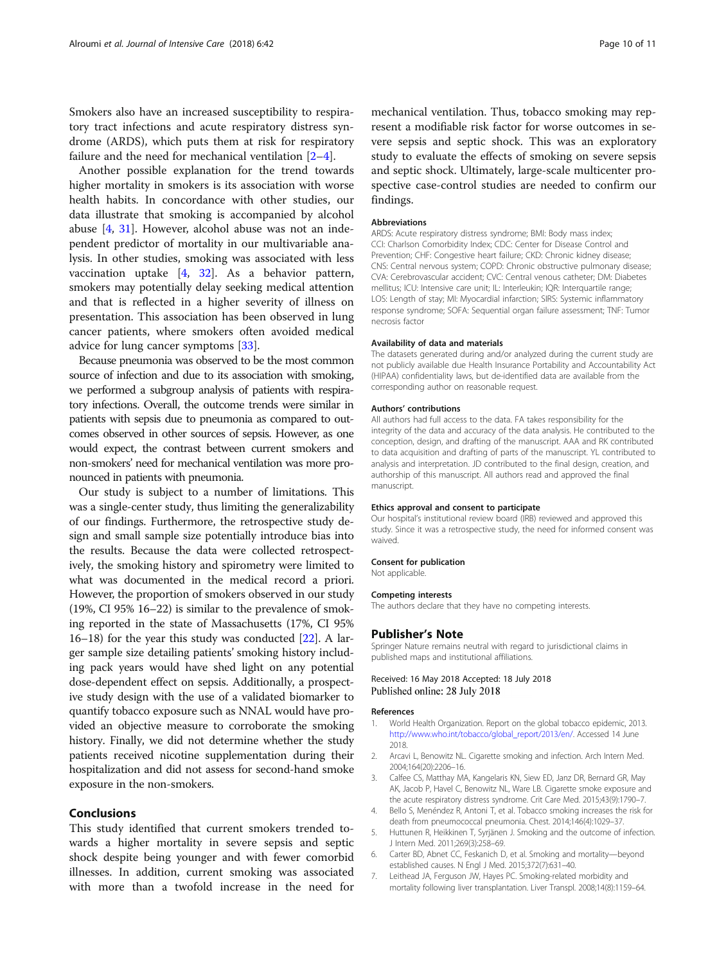<span id="page-9-0"></span>Smokers also have an increased susceptibility to respiratory tract infections and acute respiratory distress syndrome (ARDS), which puts them at risk for respiratory failure and the need for mechanical ventilation [2–4].

Another possible explanation for the trend towards higher mortality in smokers is its association with worse health habits. In concordance with other studies, our data illustrate that smoking is accompanied by alcohol abuse [4, [31\]](#page-10-0). However, alcohol abuse was not an independent predictor of mortality in our multivariable analysis. In other studies, smoking was associated with less vaccination uptake [4, [32](#page-10-0)]. As a behavior pattern, smokers may potentially delay seeking medical attention and that is reflected in a higher severity of illness on presentation. This association has been observed in lung cancer patients, where smokers often avoided medical advice for lung cancer symptoms [\[33](#page-10-0)].

Because pneumonia was observed to be the most common source of infection and due to its association with smoking, we performed a subgroup analysis of patients with respiratory infections. Overall, the outcome trends were similar in patients with sepsis due to pneumonia as compared to outcomes observed in other sources of sepsis. However, as one would expect, the contrast between current smokers and non-smokers' need for mechanical ventilation was more pronounced in patients with pneumonia.

Our study is subject to a number of limitations. This was a single-center study, thus limiting the generalizability of our findings. Furthermore, the retrospective study design and small sample size potentially introduce bias into the results. Because the data were collected retrospectively, the smoking history and spirometry were limited to what was documented in the medical record a priori. However, the proportion of smokers observed in our study (19%, CI 95% 16–22) is similar to the prevalence of smoking reported in the state of Massachusetts (17%, CI 95% 16–18) for the year this study was conducted  $[22]$  $[22]$ . A larger sample size detailing patients' smoking history including pack years would have shed light on any potential dose-dependent effect on sepsis. Additionally, a prospective study design with the use of a validated biomarker to quantify tobacco exposure such as NNAL would have provided an objective measure to corroborate the smoking history. Finally, we did not determine whether the study patients received nicotine supplementation during their hospitalization and did not assess for second-hand smoke exposure in the non-smokers.

## Conclusions

This study identified that current smokers trended towards a higher mortality in severe sepsis and septic shock despite being younger and with fewer comorbid illnesses. In addition, current smoking was associated with more than a twofold increase in the need for mechanical ventilation. Thus, tobacco smoking may represent a modifiable risk factor for worse outcomes in severe sepsis and septic shock. This was an exploratory study to evaluate the effects of smoking on severe sepsis and septic shock. Ultimately, large-scale multicenter prospective case-control studies are needed to confirm our findings.

#### Abbreviations

ARDS: Acute respiratory distress syndrome; BMI: Body mass index; CCI: Charlson Comorbidity Index; CDC: Center for Disease Control and Prevention; CHF: Congestive heart failure; CKD: Chronic kidney disease; CNS: Central nervous system; COPD: Chronic obstructive pulmonary disease; CVA: Cerebrovascular accident; CVC: Central venous catheter; DM: Diabetes mellitus; ICU: Intensive care unit; IL: Interleukin; IQR: Interquartile range; LOS: Length of stay; MI: Myocardial infarction; SIRS: Systemic inflammatory response syndrome; SOFA: Sequential organ failure assessment; TNF: Tumor necrosis factor

#### Availability of data and materials

The datasets generated during and/or analyzed during the current study are not publicly available due Health Insurance Portability and Accountability Act (HIPAA) confidentiality laws, but de-identified data are available from the corresponding author on reasonable request.

#### Authors' contributions

All authors had full access to the data. FA takes responsibility for the integrity of the data and accuracy of the data analysis. He contributed to the conception, design, and drafting of the manuscript. AAA and RK contributed to data acquisition and drafting of parts of the manuscript. YL contributed to analysis and interpretation. JD contributed to the final design, creation, and authorship of this manuscript. All authors read and approved the final manuscript.

#### Ethics approval and consent to participate

Our hospital's institutional review board (IRB) reviewed and approved this study. Since it was a retrospective study, the need for informed consent was waived.

## Consent for publication

Not applicable.

#### Competing interests

The authors declare that they have no competing interests.

#### Publisher's Note

Springer Nature remains neutral with regard to jurisdictional claims in published maps and institutional affiliations.

### Received: 16 May 2018 Accepted: 18 July 2018 Published online: 28 July 2018

#### References

- 1. World Health Organization. Report on the global tobacco epidemic, 2013. [http://www.who.int/tobacco/global\\_report/2013/en/](http://www.who.int/tobacco/global_report/2013/en/). Accessed 14 June 2018.
- 2. Arcavi L, Benowitz NL. Cigarette smoking and infection. Arch Intern Med. 2004;164(20):2206–16.
- 3. Calfee CS, Matthay MA, Kangelaris KN, Siew ED, Janz DR, Bernard GR, May AK, Jacob P, Havel C, Benowitz NL, Ware LB. Cigarette smoke exposure and the acute respiratory distress syndrome. Crit Care Med. 2015;43(9):1790–7.
- 4. Bello S, Menéndez R, Antoni T, et al. Tobacco smoking increases the risk for death from pneumococcal pneumonia. Chest. 2014;146(4):1029–37.
- 5. Huttunen R, Heikkinen T, Syrjänen J. Smoking and the outcome of infection. J Intern Med. 2011;269(3):258–69.
- 6. Carter BD, Abnet CC, Feskanich D, et al. Smoking and mortality—beyond established causes. N Engl J Med. 2015;372(7):631–40.
- 7. Leithead JA, Ferguson JW, Hayes PC. Smoking-related morbidity and mortality following liver transplantation. Liver Transpl. 2008;14(8):1159–64.